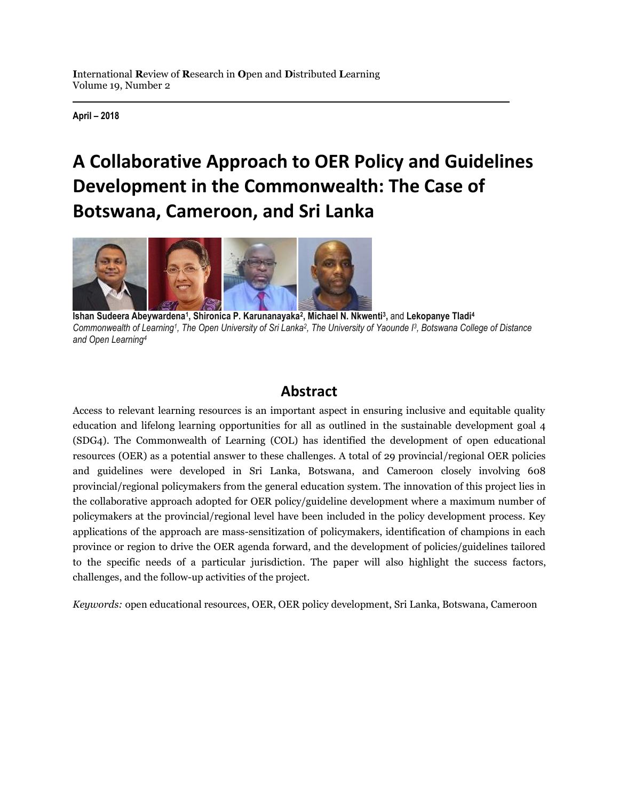**April – 2018**

# **A Collaborative Approach to OER Policy and Guidelines Development in the Commonwealth: The Case of Botswana, Cameroon, and Sri Lanka**



**Ishan Sudeera Abeywardena<sup>1</sup> , Shironica P. Karunanayaka<sup>2</sup> , Michael N. Nkwenti<sup>3</sup> ,** and **Lekopanye Tladi<sup>4</sup>** Commonwealth of Learning<sup>1</sup>, The Open University of Sri Lanka<sup>2</sup>, The University of Yaounde <sup>13</sup>, Botswana College of Distance *and Open Learning<sup>4</sup>* 

### **Abstract**

Access to relevant learning resources is an important aspect in ensuring inclusive and equitable quality education and lifelong learning opportunities for all as outlined in the sustainable development goal 4 (SDG4). The Commonwealth of Learning (COL) has identified the development of open educational resources (OER) as a potential answer to these challenges. A total of 29 provincial/regional OER policies and guidelines were developed in Sri Lanka, Botswana, and Cameroon closely involving 608 provincial/regional policymakers from the general education system. The innovation of this project lies in the collaborative approach adopted for OER policy/guideline development where a maximum number of policymakers at the provincial/regional level have been included in the policy development process. Key applications of the approach are mass-sensitization of policymakers, identification of champions in each province or region to drive the OER agenda forward, and the development of policies/guidelines tailored to the specific needs of a particular jurisdiction. The paper will also highlight the success factors, challenges, and the follow-up activities of the project.

*Keywords:* open educational resources, OER, OER policy development, Sri Lanka, Botswana, Cameroon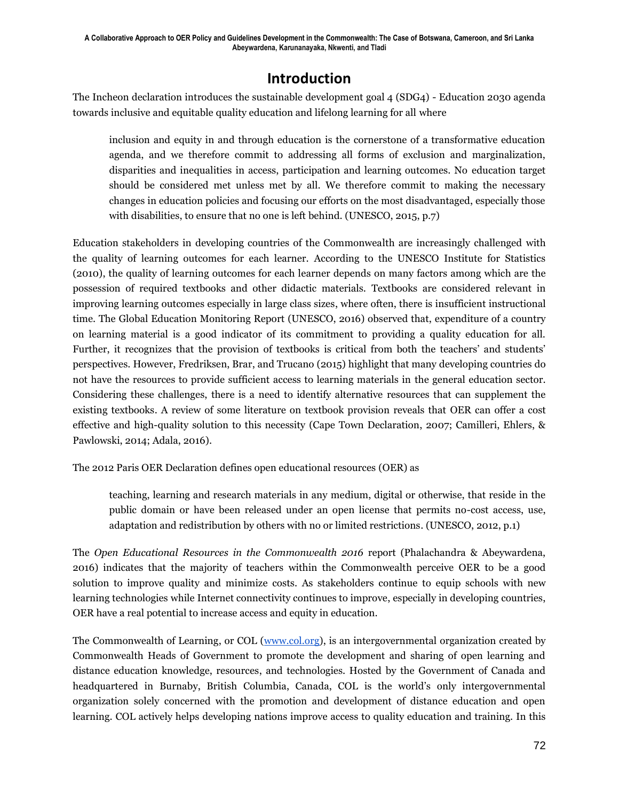### **Introduction**

The Incheon declaration introduces the sustainable development goal 4 (SDG4) - Education 2030 agenda towards inclusive and equitable quality education and lifelong learning for all where

inclusion and equity in and through education is the cornerstone of a transformative education agenda, and we therefore commit to addressing all forms of exclusion and marginalization, disparities and inequalities in access, participation and learning outcomes. No education target should be considered met unless met by all. We therefore commit to making the necessary changes in education policies and focusing our efforts on the most disadvantaged, especially those with disabilities, to ensure that no one is left behind. (UNESCO, 2015, p.7)

Education stakeholders in developing countries of the Commonwealth are increasingly challenged with the quality of learning outcomes for each learner. According to the UNESCO Institute for Statistics (2010), the quality of learning outcomes for each learner depends on many factors among which are the possession of required textbooks and other didactic materials. Textbooks are considered relevant in improving learning outcomes especially in large class sizes, where often, there is insufficient instructional time. The Global Education Monitoring Report (UNESCO, 2016) observed that, expenditure of a country on learning material is a good indicator of its commitment to providing a quality education for all. Further, it recognizes that the provision of textbooks is critical from both the teachers' and students' perspectives. However, Fredriksen, Brar, and Trucano (2015) highlight that many developing countries do not have the resources to provide sufficient access to learning materials in the general education sector. Considering these challenges, there is a need to identify alternative resources that can supplement the existing textbooks. A review of some literature on textbook provision reveals that OER can offer a cost effective and high-quality solution to this necessity (Cape Town Declaration, 2007; Camilleri, Ehlers, & Pawlowski, 2014; Adala, 2016).

The 2012 Paris OER Declaration defines open educational resources (OER) as

teaching, learning and research materials in any medium, digital or otherwise, that reside in the public domain or have been released under an open license that permits no-cost access, use, adaptation and redistribution by others with no or limited restrictions. (UNESCO, 2012, p.1)

The *Open Educational Resources in the Commonwealth 2016* report (Phalachandra & Abeywardena, 2016) indicates that the majority of teachers within the Commonwealth perceive OER to be a good solution to improve quality and minimize costs. As stakeholders continue to equip schools with new learning technologies while Internet connectivity continues to improve, especially in developing countries, OER have a real potential to increase access and equity in education.

The Commonwealth of Learning, or COL (www.col.org), is an intergovernmental organization created by Commonwealth Heads of Government to promote the development and sharing of open learning and distance education knowledge, resources, and technologies. Hosted by the Government of Canada and headquartered in Burnaby, British Columbia, Canada, COL is the world's only intergovernmental organization solely concerned with the promotion and development of distance education and open learning. COL actively helps developing nations improve access to quality education and training. In this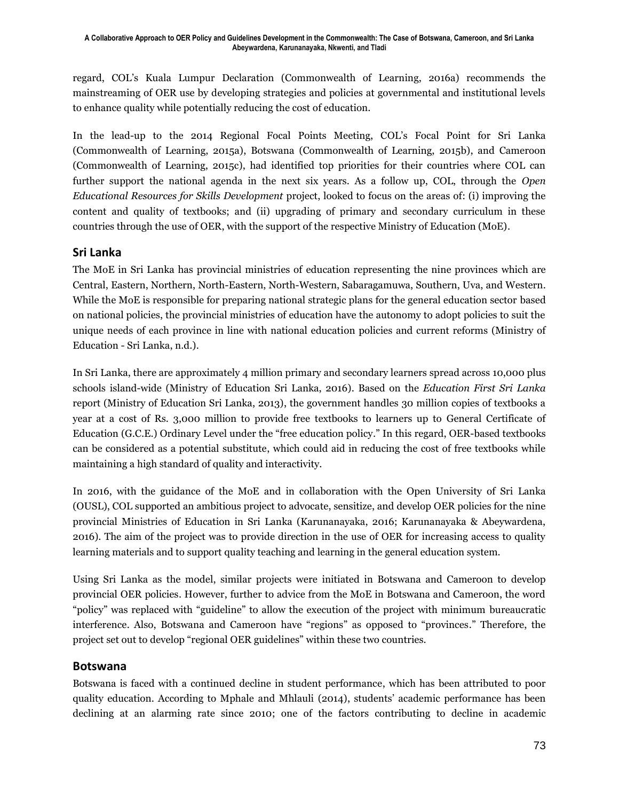regard, COL's Kuala Lumpur Declaration (Commonwealth of Learning, 2016a) recommends the mainstreaming of OER use by developing strategies and policies at governmental and institutional levels to enhance quality while potentially reducing the cost of education.

In the lead-up to the 2014 Regional Focal Points Meeting, COL's Focal Point for Sri Lanka (Commonwealth of Learning, 2015a), Botswana (Commonwealth of Learning, 2015b), and Cameroon (Commonwealth of Learning, 2015c), had identified top priorities for their countries where COL can further support the national agenda in the next six years. As a follow up, COL, through the *Open Educational Resources for Skills Development* project, looked to focus on the areas of: (i) improving the content and quality of textbooks; and (ii) upgrading of primary and secondary curriculum in these countries through the use of OER, with the support of the respective Ministry of Education (MoE).

### **Sri Lanka**

The MoE in Sri Lanka has provincial ministries of education representing the nine provinces which are Central, Eastern, Northern, North-Eastern, North-Western, Sabaragamuwa, Southern, Uva, and Western. While the MoE is responsible for preparing national strategic plans for the general education sector based on national policies, the provincial ministries of education have the autonomy to adopt policies to suit the unique needs of each province in line with national education policies and current reforms (Ministry of Education - Sri Lanka, n.d.).

In Sri Lanka, there are approximately 4 million primary and secondary learners spread across 10,000 plus schools island-wide (Ministry of Education Sri Lanka, 2016). Based on the *Education First Sri Lanka* report (Ministry of Education Sri Lanka, 2013), the government handles 30 million copies of textbooks a year at a cost of Rs. 3,000 million to provide free textbooks to learners up to General Certificate of Education (G.C.E.) Ordinary Level under the "free education policy." In this regard, OER-based textbooks can be considered as a potential substitute, which could aid in reducing the cost of free textbooks while maintaining a high standard of quality and interactivity.

In 2016, with the guidance of the MoE and in collaboration with the Open University of Sri Lanka (OUSL), COL supported an ambitious project to advocate, sensitize, and develop OER policies for the nine provincial Ministries of Education in Sri Lanka (Karunanayaka, 2016; Karunanayaka & Abeywardena, 2016). The aim of the project was to provide direction in the use of OER for increasing access to quality learning materials and to support quality teaching and learning in the general education system.

Using Sri Lanka as the model, similar projects were initiated in Botswana and Cameroon to develop provincial OER policies. However, further to advice from the MoE in Botswana and Cameroon, the word "policy" was replaced with "guideline" to allow the execution of the project with minimum bureaucratic interference. Also, Botswana and Cameroon have "regions" as opposed to "provinces." Therefore, the project set out to develop "regional OER guidelines" within these two countries.

### **Botswana**

Botswana is faced with a continued decline in student performance, which has been attributed to poor quality education. According to Mphale and Mhlauli (2014), students' academic performance has been declining at an alarming rate since 2010; one of the factors contributing to decline in academic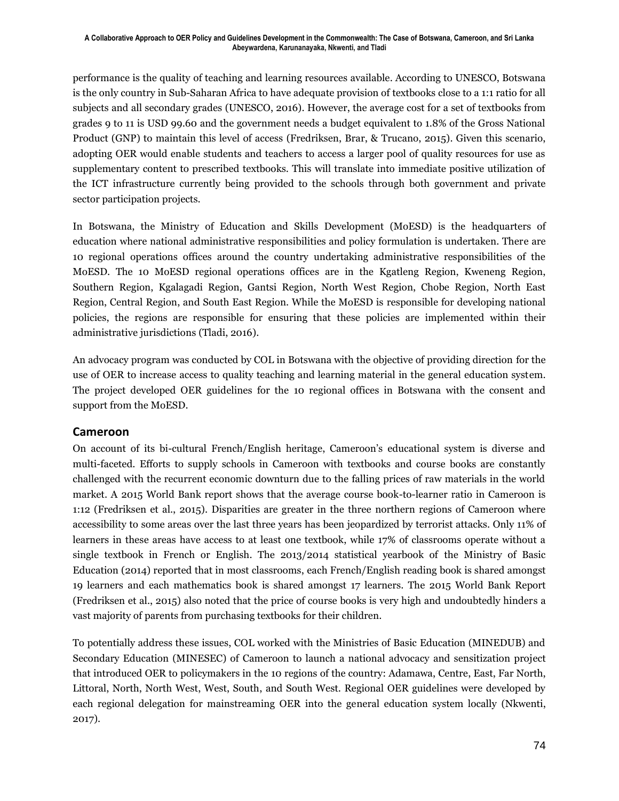performance is the quality of teaching and learning resources available. According to UNESCO, Botswana is the only country in Sub-Saharan Africa to have adequate provision of textbooks close to a 1:1 ratio for all subjects and all secondary grades (UNESCO, 2016). However, the average cost for a set of textbooks from grades 9 to 11 is USD 99.60 and the government needs a budget equivalent to 1.8% of the Gross National Product (GNP) to maintain this level of access (Fredriksen, Brar, & Trucano, 2015). Given this scenario, adopting OER would enable students and teachers to access a larger pool of quality resources for use as supplementary content to prescribed textbooks. This will translate into immediate positive utilization of the ICT infrastructure currently being provided to the schools through both government and private sector participation projects.

In Botswana, the Ministry of Education and Skills Development (MoESD) is the headquarters of education where national administrative responsibilities and policy formulation is undertaken. There are 10 regional operations offices around the country undertaking administrative responsibilities of the MoESD. The 10 MoESD regional operations offices are in the Kgatleng Region, Kweneng Region, Southern Region, Kgalagadi Region, Gantsi Region, North West Region, Chobe Region, North East Region, Central Region, and South East Region. While the MoESD is responsible for developing national policies, the regions are responsible for ensuring that these policies are implemented within their administrative jurisdictions (Tladi, 2016).

An advocacy program was conducted by COL in Botswana with the objective of providing direction for the use of OER to increase access to quality teaching and learning material in the general education system. The project developed OER guidelines for the 10 regional offices in Botswana with the consent and support from the MoESD.

#### **Cameroon**

On account of its bi-cultural French/English heritage, Cameroon's educational system is diverse and multi-faceted. Efforts to supply schools in Cameroon with textbooks and course books are constantly challenged with the recurrent economic downturn due to the falling prices of raw materials in the world market. A 2015 World Bank report shows that the average course book-to-learner ratio in Cameroon is 1:12 (Fredriksen et al., 2015). Disparities are greater in the three northern regions of Cameroon where accessibility to some areas over the last three years has been jeopardized by terrorist attacks. Only 11% of learners in these areas have access to at least one textbook, while 17% of classrooms operate without a single textbook in French or English. The 2013/2014 statistical yearbook of the Ministry of Basic Education (2014) reported that in most classrooms, each French/English reading book is shared amongst 19 learners and each mathematics book is shared amongst 17 learners. The 2015 World Bank Report (Fredriksen et al., 2015) also noted that the price of course books is very high and undoubtedly hinders a vast majority of parents from purchasing textbooks for their children.

To potentially address these issues, COL worked with the Ministries of Basic Education (MINEDUB) and Secondary Education (MINESEC) of Cameroon to launch a national advocacy and sensitization project that introduced OER to policymakers in the 10 regions of the country: Adamawa, Centre, East, Far North, Littoral, North, North West, West, South, and South West. Regional OER guidelines were developed by each regional delegation for mainstreaming OER into the general education system locally (Nkwenti, 2017).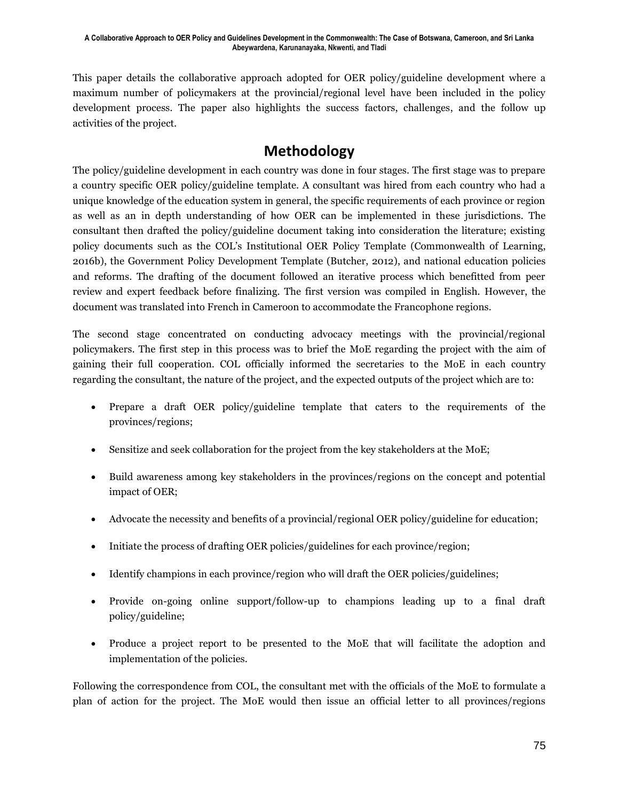This paper details the collaborative approach adopted for OER policy/guideline development where a maximum number of policymakers at the provincial/regional level have been included in the policy development process. The paper also highlights the success factors, challenges, and the follow up activities of the project.

## **Methodology**

The policy/guideline development in each country was done in four stages. The first stage was to prepare a country specific OER policy/guideline template. A consultant was hired from each country who had a unique knowledge of the education system in general, the specific requirements of each province or region as well as an in depth understanding of how OER can be implemented in these jurisdictions. The consultant then drafted the policy/guideline document taking into consideration the literature; existing policy documents such as the COL's Institutional OER Policy Template (Commonwealth of Learning, 2016b), the Government Policy Development Template (Butcher, 2012), and national education policies and reforms. The drafting of the document followed an iterative process which benefitted from peer review and expert feedback before finalizing. The first version was compiled in English. However, the document was translated into French in Cameroon to accommodate the Francophone regions.

The second stage concentrated on conducting advocacy meetings with the provincial/regional policymakers. The first step in this process was to brief the MoE regarding the project with the aim of gaining their full cooperation. COL officially informed the secretaries to the MoE in each country regarding the consultant, the nature of the project, and the expected outputs of the project which are to:

- Prepare a draft OER policy/guideline template that caters to the requirements of the provinces/regions;
- Sensitize and seek collaboration for the project from the key stakeholders at the MoE;
- Build awareness among key stakeholders in the provinces/regions on the concept and potential impact of OER;
- Advocate the necessity and benefits of a provincial/regional OER policy/guideline for education;
- Initiate the process of drafting OER policies/guidelines for each province/region;
- Identify champions in each province/region who will draft the OER policies/guidelines;
- Provide on-going online support/follow-up to champions leading up to a final draft policy/guideline;
- Produce a project report to be presented to the MoE that will facilitate the adoption and implementation of the policies.

Following the correspondence from COL, the consultant met with the officials of the MoE to formulate a plan of action for the project. The MoE would then issue an official letter to all provinces/regions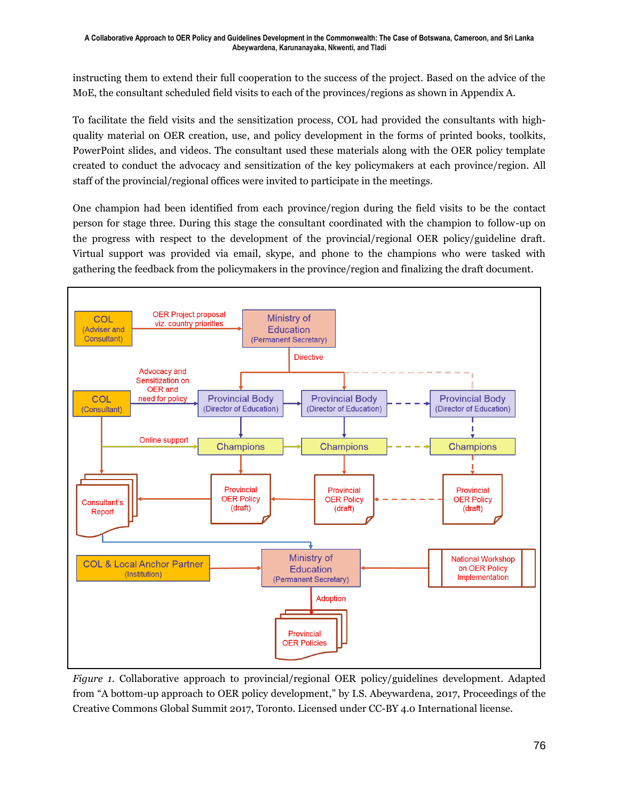instructing them to extend their full cooperation to the success of the project. Based on the advice of the MoE, the consultant scheduled field visits to each of the provinces/regions as shown in Appendix A.

To facilitate the field visits and the sensitization process, COL had provided the consultants with highquality material on OER creation, use, and policy development in the forms of printed books, toolkits, PowerPoint slides, and videos. The consultant used these materials along with the OER policy template created to conduct the advocacy and sensitization of the key policymakers at each province/region. All staff of the provincial/regional offices were invited to participate in the meetings.

One champion had been identified from each province/region during the field visits to be the contact person for stage three. During this stage the consultant coordinated with the champion to follow-up on the progress with respect to the development of the provincial/regional OER policy/guideline draft. Virtual support was provided via email, skype, and phone to the champions who were tasked with gathering the feedback from the policymakers in the province/region and finalizing the draft document.



*Figure 1*. Collaborative approach to provincial/regional OER policy/guidelines development. Adapted from "A bottom-up approach to OER policy development," by I.S. Abeywardena, 2017, Proceedings of the Creative Commons Global Summit 2017, Toronto. Licensed under CC-BY 4.0 International license.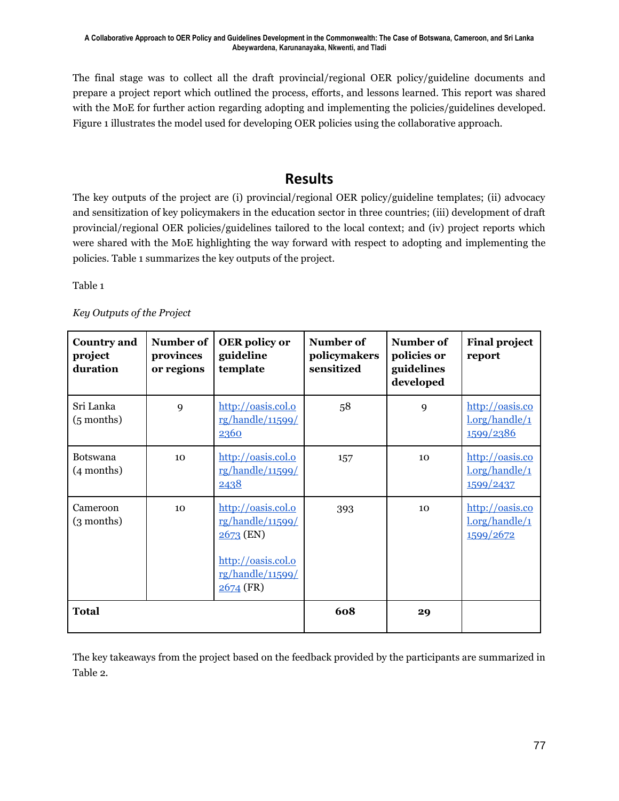The final stage was to collect all the draft provincial/regional OER policy/guideline documents and prepare a project report which outlined the process, efforts, and lessons learned. This report was shared with the MoE for further action regarding adopting and implementing the policies/guidelines developed. Figure 1 illustrates the model used for developing OER policies using the collaborative approach.

### **Results**

The key outputs of the project are (i) provincial/regional OER policy/guideline templates; (ii) advocacy and sensitization of key policymakers in the education sector in three countries; (iii) development of draft provincial/regional OER policies/guidelines tailored to the local context; and (iv) project reports which were shared with the MoE highlighting the way forward with respect to adopting and implementing the policies. Table 1 summarizes the key outputs of the project.

Table 1

| <b>Country and</b><br>project<br>duration | Number of<br>provinces<br>or regions | <b>OER</b> policy or<br>guideline<br>template                                                                | Number of<br>policymakers<br>sensitized | Number of<br>policies or<br>guidelines<br>developed | <b>Final project</b><br>report                 |
|-------------------------------------------|--------------------------------------|--------------------------------------------------------------------------------------------------------------|-----------------------------------------|-----------------------------------------------------|------------------------------------------------|
| Sri Lanka<br>$(5$ months)                 | 9                                    | http://oasis.col.o<br>rg/handle/11599/<br>2360                                                               | 58                                      | 9                                                   | http://oasis.co<br>l.org/handle/1<br>1599/2386 |
| <b>Botswana</b><br>(4 months)             | 10 <sup>2</sup>                      | http://oasis.col.o<br>rg/handle/11599/<br>2438                                                               | 157                                     | 10                                                  | http://oasis.co<br>l.org/handle/1<br>1599/2437 |
| Cameroon<br>$(3$ months)                  | 10 <sup>2</sup>                      | http://oasis.col.o<br>rg/handle/11599/<br>2673 (EN)<br>http://oasis.col.o<br>rg/handle/11599/<br>$2674$ (FR) | 393                                     | 10 <sup>1</sup>                                     | http://oasis.co<br>l.org/handle/1<br>1599/2672 |
| <b>Total</b>                              |                                      |                                                                                                              | 608                                     | 29                                                  |                                                |

The key takeaways from the project based on the feedback provided by the participants are summarized in Table 2.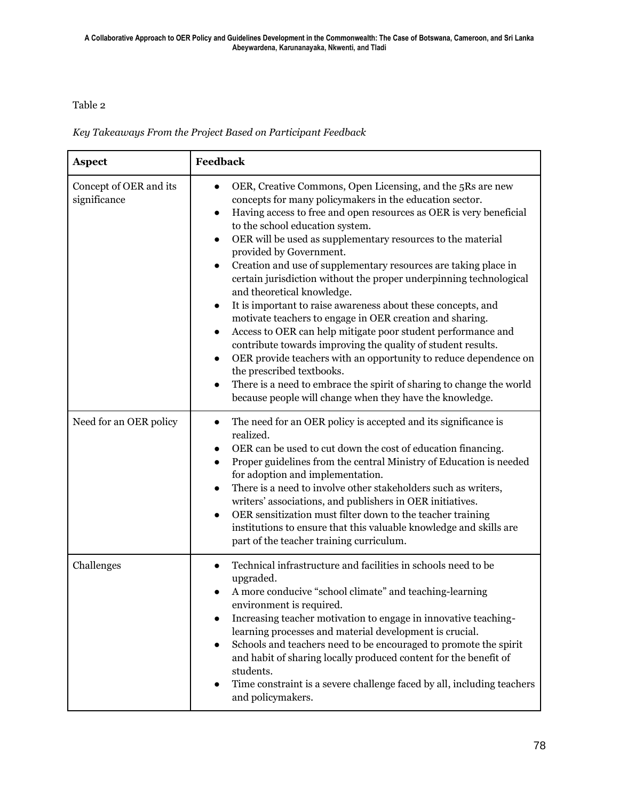#### Table 2

*Key Takeaways From the Project Based on Participant Feedback*

| <b>Aspect</b>                          | Feedback                                                                                                                                                                                                                                                                                                                                                                                                                                                                                                                                                                                                                                                                                                                                                                                                                                                                                                                                                                                                                                                                                    |  |  |  |
|----------------------------------------|---------------------------------------------------------------------------------------------------------------------------------------------------------------------------------------------------------------------------------------------------------------------------------------------------------------------------------------------------------------------------------------------------------------------------------------------------------------------------------------------------------------------------------------------------------------------------------------------------------------------------------------------------------------------------------------------------------------------------------------------------------------------------------------------------------------------------------------------------------------------------------------------------------------------------------------------------------------------------------------------------------------------------------------------------------------------------------------------|--|--|--|
| Concept of OER and its<br>significance | OER, Creative Commons, Open Licensing, and the 5Rs are new<br>concepts for many policymakers in the education sector.<br>Having access to free and open resources as OER is very beneficial<br>$\bullet$<br>to the school education system.<br>OER will be used as supplementary resources to the material<br>$\bullet$<br>provided by Government.<br>Creation and use of supplementary resources are taking place in<br>$\bullet$<br>certain jurisdiction without the proper underpinning technological<br>and theoretical knowledge.<br>It is important to raise awareness about these concepts, and<br>$\bullet$<br>motivate teachers to engage in OER creation and sharing.<br>Access to OER can help mitigate poor student performance and<br>$\bullet$<br>contribute towards improving the quality of student results.<br>OER provide teachers with an opportunity to reduce dependence on<br>$\bullet$<br>the prescribed textbooks.<br>There is a need to embrace the spirit of sharing to change the world<br>$\bullet$<br>because people will change when they have the knowledge. |  |  |  |
| Need for an OER policy                 | The need for an OER policy is accepted and its significance is<br>$\bullet$<br>realized.<br>OER can be used to cut down the cost of education financing.<br>$\bullet$<br>Proper guidelines from the central Ministry of Education is needed<br>$\bullet$<br>for adoption and implementation.<br>There is a need to involve other stakeholders such as writers,<br>$\bullet$<br>writers' associations, and publishers in OER initiatives.<br>OER sensitization must filter down to the teacher training<br>$\bullet$<br>institutions to ensure that this valuable knowledge and skills are<br>part of the teacher training curriculum.                                                                                                                                                                                                                                                                                                                                                                                                                                                       |  |  |  |
| Challenges                             | Technical infrastructure and facilities in schools need to be<br>upgraded.<br>A more conducive "school climate" and teaching-learning<br>environment is required.<br>Increasing teacher motivation to engage in innovative teaching-<br>learning processes and material development is crucial.<br>Schools and teachers need to be encouraged to promote the spirit<br>and habit of sharing locally produced content for the benefit of<br>students.<br>Time constraint is a severe challenge faced by all, including teachers<br>$\bullet$<br>and policymakers.                                                                                                                                                                                                                                                                                                                                                                                                                                                                                                                            |  |  |  |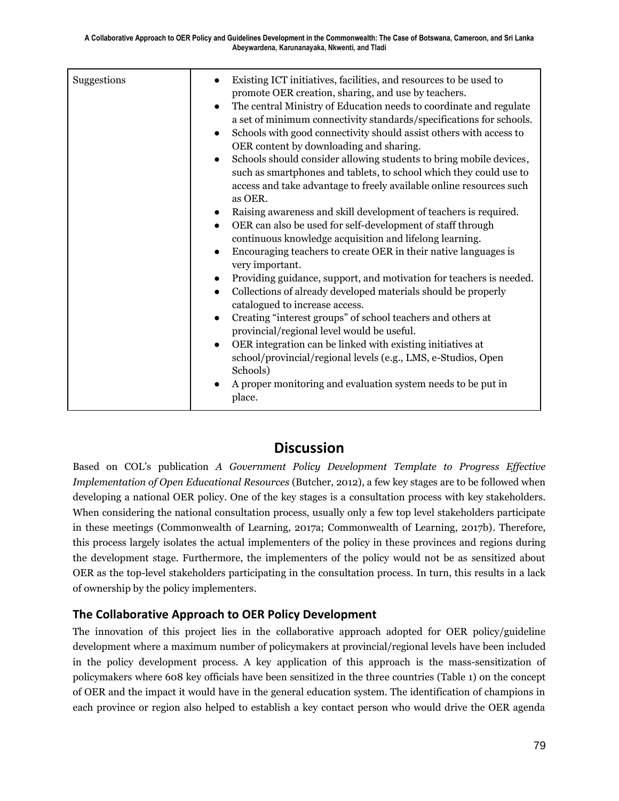| Suggestions | Existing ICT initiatives, facilities, and resources to be used to<br>$\bullet$<br>promote OER creation, sharing, and use by teachers.<br>The central Ministry of Education needs to coordinate and regulate<br>$\bullet$<br>a set of minimum connectivity standards/specifications for schools.<br>Schools with good connectivity should assist others with access to<br>$\bullet$<br>OER content by downloading and sharing.<br>Schools should consider allowing students to bring mobile devices,<br>$\bullet$<br>such as smartphones and tablets, to school which they could use to<br>access and take advantage to freely available online resources such<br>as OER.<br>Raising awareness and skill development of teachers is required.<br>$\bullet$<br>OER can also be used for self-development of staff through<br>$\bullet$<br>continuous knowledge acquisition and lifelong learning.<br>Encouraging teachers to create OER in their native languages is<br>$\bullet$<br>very important.<br>Providing guidance, support, and motivation for teachers is needed.<br>$\bullet$<br>Collections of already developed materials should be properly<br>$\bullet$<br>catalogued to increase access.<br>Creating "interest groups" of school teachers and others at<br>$\bullet$<br>provincial/regional level would be useful.<br>OER integration can be linked with existing initiatives at<br>$\bullet$<br>school/provincial/regional levels (e.g., LMS, e-Studios, Open<br>Schools)<br>A proper monitoring and evaluation system needs to be put in<br>place. |
|-------------|--------------------------------------------------------------------------------------------------------------------------------------------------------------------------------------------------------------------------------------------------------------------------------------------------------------------------------------------------------------------------------------------------------------------------------------------------------------------------------------------------------------------------------------------------------------------------------------------------------------------------------------------------------------------------------------------------------------------------------------------------------------------------------------------------------------------------------------------------------------------------------------------------------------------------------------------------------------------------------------------------------------------------------------------------------------------------------------------------------------------------------------------------------------------------------------------------------------------------------------------------------------------------------------------------------------------------------------------------------------------------------------------------------------------------------------------------------------------------------------------------------------------------------------------------------------------|

### **Discussion**

Based on COL's publication *A Government Policy Development Template to Progress Effective Implementation of Open Educational Resources* (Butcher, 2012), a few key stages are to be followed when developing a national OER policy. One of the key stages is a consultation process with key stakeholders. When considering the national consultation process, usually only a few top level stakeholders participate in these meetings (Commonwealth of Learning, 2017a; Commonwealth of Learning, 2017b). Therefore, this process largely isolates the actual implementers of the policy in these provinces and regions during the development stage. Furthermore, the implementers of the policy would not be as sensitized about OER as the top-level stakeholders participating in the consultation process. In turn, this results in a lack of ownership by the policy implementers.

### **The Collaborative Approach to OER Policy Development**

The innovation of this project lies in the collaborative approach adopted for OER policy/guideline development where a maximum number of policymakers at provincial/regional levels have been included in the policy development process. A key application of this approach is the mass-sensitization of policymakers where 608 key officials have been sensitized in the three countries (Table 1) on the concept of OER and the impact it would have in the general education system. The identification of champions in each province or region also helped to establish a key contact person who would drive the OER agenda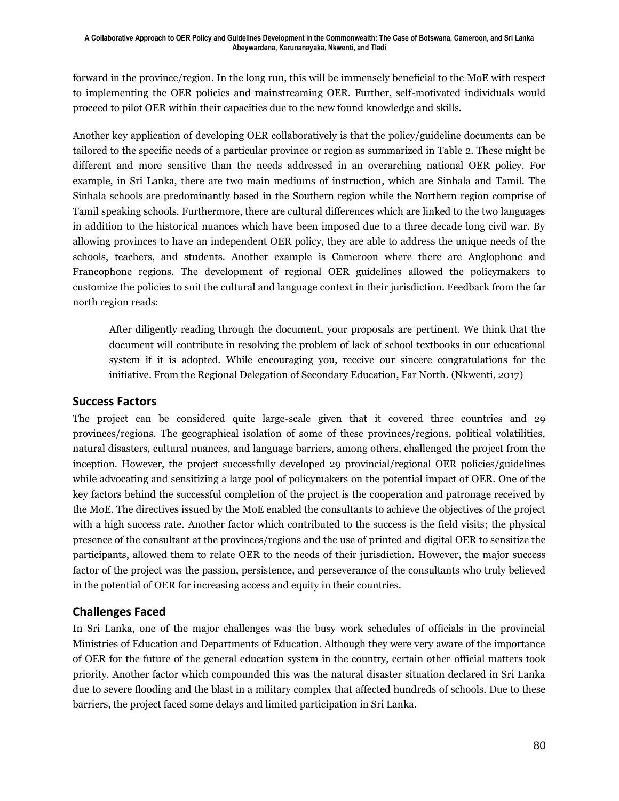forward in the province/region. In the long run, this will be immensely beneficial to the MoE with respect to implementing the OER policies and mainstreaming OER. Further, self-motivated individuals would proceed to pilot OER within their capacities due to the new found knowledge and skills.

Another key application of developing OER collaboratively is that the policy/guideline documents can be tailored to the specific needs of a particular province or region as summarized in Table 2. These might be different and more sensitive than the needs addressed in an overarching national OER policy. For example, in Sri Lanka, there are two main mediums of instruction, which are Sinhala and Tamil. The Sinhala schools are predominantly based in the Southern region while the Northern region comprise of Tamil speaking schools. Furthermore, there are cultural differences which are linked to the two languages in addition to the historical nuances which have been imposed due to a three decade long civil war. By allowing provinces to have an independent OER policy, they are able to address the unique needs of the schools, teachers, and students. Another example is Cameroon where there are Anglophone and Francophone regions. The development of regional OER guidelines allowed the policymakers to customize the policies to suit the cultural and language context in their jurisdiction. Feedback from the far north region reads:

After diligently reading through the document, your proposals are pertinent. We think that the document will contribute in resolving the problem of lack of school textbooks in our educational system if it is adopted. While encouraging you, receive our sincere congratulations for the initiative. From the Regional Delegation of Secondary Education, Far North. (Nkwenti, 2017)

#### **Success Factors**

The project can be considered quite large-scale given that it covered three countries and 29 provinces/regions. The geographical isolation of some of these provinces/regions, political volatilities, natural disasters, cultural nuances, and language barriers, among others, challenged the project from the inception. However, the project successfully developed 29 provincial/regional OER policies/guidelines while advocating and sensitizing a large pool of policymakers on the potential impact of OER. One of the key factors behind the successful completion of the project is the cooperation and patronage received by the MoE. The directives issued by the MoE enabled the consultants to achieve the objectives of the project with a high success rate. Another factor which contributed to the success is the field visits; the physical presence of the consultant at the provinces/regions and the use of printed and digital OER to sensitize the participants, allowed them to relate OER to the needs of their jurisdiction. However, the major success factor of the project was the passion, persistence, and perseverance of the consultants who truly believed in the potential of OER for increasing access and equity in their countries.

### **Challenges Faced**

In Sri Lanka, one of the major challenges was the busy work schedules of officials in the provincial Ministries of Education and Departments of Education. Although they were very aware of the importance of OER for the future of the general education system in the country, certain other official matters took priority. Another factor which compounded this was the natural disaster situation declared in Sri Lanka due to severe flooding and the blast in a military complex that affected hundreds of schools. Due to these barriers, the project faced some delays and limited participation in Sri Lanka.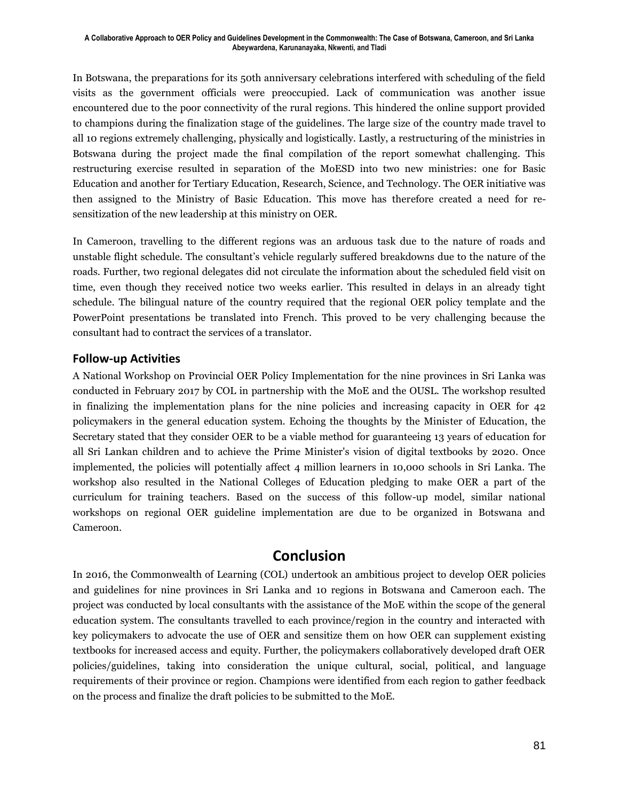In Botswana, the preparations for its 50th anniversary celebrations interfered with scheduling of the field visits as the government officials were preoccupied. Lack of communication was another issue encountered due to the poor connectivity of the rural regions. This hindered the online support provided to champions during the finalization stage of the guidelines. The large size of the country made travel to all 10 regions extremely challenging, physically and logistically. Lastly, a restructuring of the ministries in Botswana during the project made the final compilation of the report somewhat challenging. This restructuring exercise resulted in separation of the MoESD into two new ministries: one for Basic Education and another for Tertiary Education, Research, Science, and Technology. The OER initiative was then assigned to the Ministry of Basic Education. This move has therefore created a need for resensitization of the new leadership at this ministry on OER.

In Cameroon, travelling to the different regions was an arduous task due to the nature of roads and unstable flight schedule. The consultant's vehicle regularly suffered breakdowns due to the nature of the roads. Further, two regional delegates did not circulate the information about the scheduled field visit on time, even though they received notice two weeks earlier. This resulted in delays in an already tight schedule. The bilingual nature of the country required that the regional OER policy template and the PowerPoint presentations be translated into French. This proved to be very challenging because the consultant had to contract the services of a translator.

#### **Follow-up Activities**

A National Workshop on Provincial OER Policy Implementation for the nine provinces in Sri Lanka was conducted in February 2017 by COL in partnership with the MoE and the OUSL. The workshop resulted in finalizing the implementation plans for the nine policies and increasing capacity in OER for 42 policymakers in the general education system. Echoing the thoughts by the Minister of Education, the Secretary stated that they consider OER to be a viable method for guaranteeing 13 years of education for all Sri Lankan children and to achieve the Prime Minister's vision of digital textbooks by 2020. Once implemented, the policies will potentially affect 4 million learners in 10,000 schools in Sri Lanka. The workshop also resulted in the National Colleges of Education pledging to make OER a part of the curriculum for training teachers. Based on the success of this follow-up model, similar national workshops on regional OER guideline implementation are due to be organized in Botswana and Cameroon.

### **Conclusion**

In 2016, the Commonwealth of Learning (COL) undertook an ambitious project to develop OER policies and guidelines for nine provinces in Sri Lanka and 10 regions in Botswana and Cameroon each. The project was conducted by local consultants with the assistance of the MoE within the scope of the general education system. The consultants travelled to each province/region in the country and interacted with key policymakers to advocate the use of OER and sensitize them on how OER can supplement existing textbooks for increased access and equity. Further, the policymakers collaboratively developed draft OER policies/guidelines, taking into consideration the unique cultural, social, political, and language requirements of their province or region. Champions were identified from each region to gather feedback on the process and finalize the draft policies to be submitted to the MoE.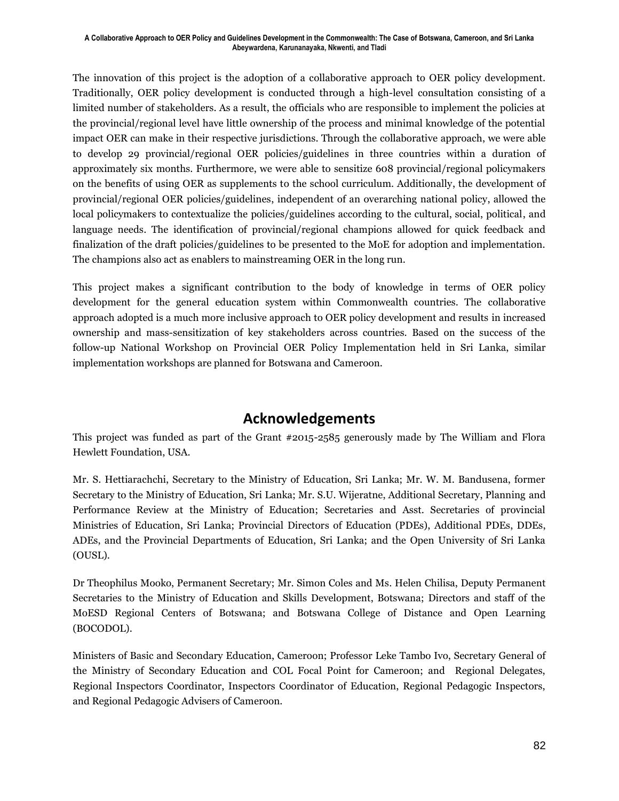The innovation of this project is the adoption of a collaborative approach to OER policy development. Traditionally, OER policy development is conducted through a high-level consultation consisting of a limited number of stakeholders. As a result, the officials who are responsible to implement the policies at the provincial/regional level have little ownership of the process and minimal knowledge of the potential impact OER can make in their respective jurisdictions. Through the collaborative approach, we were able to develop 29 provincial/regional OER policies/guidelines in three countries within a duration of approximately six months. Furthermore, we were able to sensitize 608 provincial/regional policymakers on the benefits of using OER as supplements to the school curriculum. Additionally, the development of provincial/regional OER policies/guidelines, independent of an overarching national policy, allowed the local policymakers to contextualize the policies/guidelines according to the cultural, social, political, and language needs. The identification of provincial/regional champions allowed for quick feedback and finalization of the draft policies/guidelines to be presented to the MoE for adoption and implementation. The champions also act as enablers to mainstreaming OER in the long run.

This project makes a significant contribution to the body of knowledge in terms of OER policy development for the general education system within Commonwealth countries. The collaborative approach adopted is a much more inclusive approach to OER policy development and results in increased ownership and mass-sensitization of key stakeholders across countries. Based on the success of the follow-up National Workshop on Provincial OER Policy Implementation held in Sri Lanka, similar implementation workshops are planned for Botswana and Cameroon.

### **Acknowledgements**

This project was funded as part of the Grant #2015-2585 generously made by The William and Flora Hewlett Foundation, USA.

Mr. S. Hettiarachchi, Secretary to the Ministry of Education, Sri Lanka; Mr. W. M. Bandusena, former Secretary to the Ministry of Education, Sri Lanka; Mr. S.U. Wijeratne, Additional Secretary, Planning and Performance Review at the Ministry of Education; Secretaries and Asst. Secretaries of provincial Ministries of Education, Sri Lanka; Provincial Directors of Education (PDEs), Additional PDEs, DDEs, ADEs, and the Provincial Departments of Education, Sri Lanka; and the Open University of Sri Lanka (OUSL).

Dr Theophilus Mooko, Permanent Secretary; Mr. Simon Coles and Ms. Helen Chilisa, Deputy Permanent Secretaries to the Ministry of Education and Skills Development, Botswana; Directors and staff of the MoESD Regional Centers of Botswana; and Botswana College of Distance and Open Learning (BOCODOL).

Ministers of Basic and Secondary Education, Cameroon; Professor Leke Tambo Ivo, Secretary General of the Ministry of Secondary Education and COL Focal Point for Cameroon; and Regional Delegates, Regional Inspectors Coordinator, Inspectors Coordinator of Education, Regional Pedagogic Inspectors, and Regional Pedagogic Advisers of Cameroon.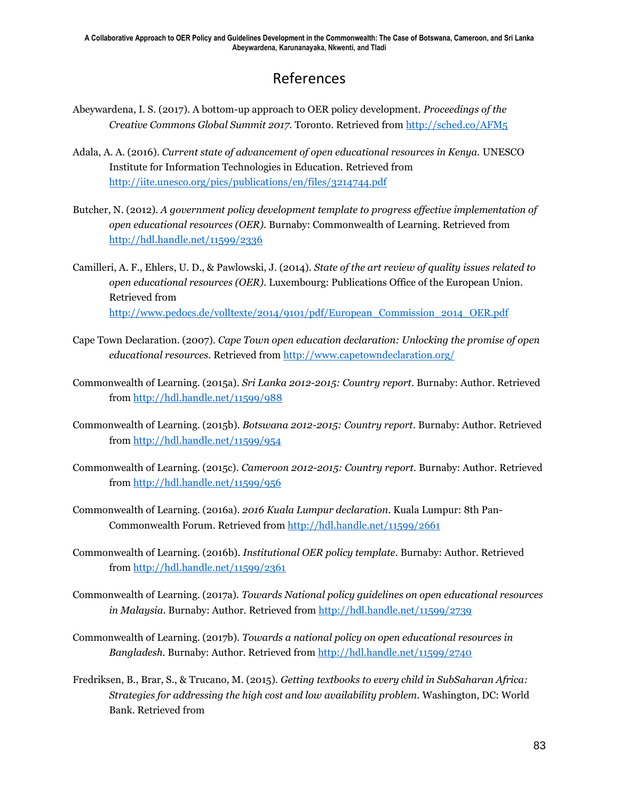## References

- Abeywardena, I. S. (2017). A bottom-up approach to OER policy development. *Proceedings of the Creative Commons Global Summit 2017.* Toronto. Retrieved fro[m http://sched.co/AFM5](http://sched.co/AFM5)
- Adala, A. A. (2016). *Current state of advancement of open educational resources in Kenya.* UNESCO Institute for Information Technologies in Education. Retrieved from <http://iite.unesco.org/pics/publications/en/files/3214744.pdf>
- Butcher, N. (2012). *A government policy development template to progress effective implementation of open educational resources (OER).* Burnaby: Commonwealth of Learning. Retrieved from <http://hdl.handle.net/11599/2336>
- Camilleri, A. F., Ehlers, U. D., & Pawlowski, J. (2014). *State of the art review of quality issues related to open educational resources (OER).* Luxembourg: Publications Office of the European Union. Retrieved from [http://www.pedocs.de/volltexte/2014/9101/pdf/European\\_Commission\\_2014\\_OER.pdf](http://www.pedocs.de/volltexte/2014/9101/pdf/European_Commission_2014_OER.pdf)
- Cape Town Declaration. (2007). *Cape Town open education declaration: Unlocking the promise of open educational resources.* Retrieved from<http://www.capetowndeclaration.org/>
- Commonwealth of Learning. (2015a). *Sri Lanka 2012-2015: Country report.* Burnaby: Author. Retrieved from<http://hdl.handle.net/11599/988>
- Commonwealth of Learning. (2015b). *Botswana 2012-2015: Country report.* Burnaby: Author. Retrieved from<http://hdl.handle.net/11599/954>
- Commonwealth of Learning. (2015c). *Cameroon 2012-2015: Country report.* Burnaby: Author. Retrieved from<http://hdl.handle.net/11599/956>
- Commonwealth of Learning. (2016a). *2016 Kuala Lumpur declaration.* Kuala Lumpur: 8th Pan-Commonwealth Forum. Retrieved fro[m http://hdl.handle.net/11599/2661](http://hdl.handle.net/11599/2661)
- Commonwealth of Learning. (2016b). *Institutional OER policy template.* Burnaby: Author. Retrieved from<http://hdl.handle.net/11599/2361>
- Commonwealth of Learning. (2017a). *Towards National policy guidelines on open educational resources in Malaysia.* Burnaby: Author. Retrieved from<http://hdl.handle.net/11599/2739>
- Commonwealth of Learning. (2017b). *Towards a national policy on open educational resources in Bangladesh.* Burnaby: Author. Retrieved from<http://hdl.handle.net/11599/2740>
- Fredriksen, B., Brar, S., & Trucano, M. (2015). *Getting textbooks to every child in SubSaharan Africa: Strategies for addressing the high cost and low availability problem.* Washington, DC: World Bank. Retrieved from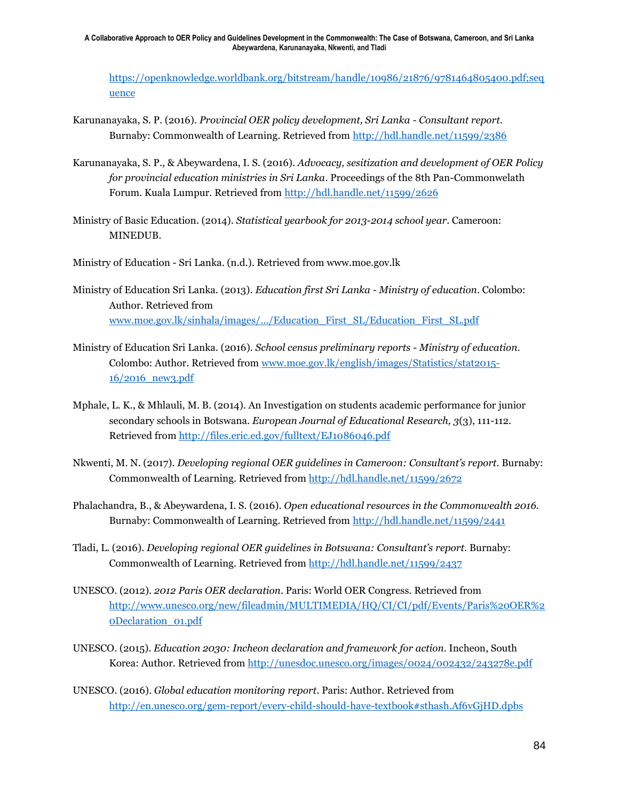[https://openknowledge.worldbank.org/bitstream/handle/10986/21876/9781464805400.pdf;seq](https://openknowledge.worldbank.org/bitstream/handle/10986/21876/9781464805400.pdf;sequence) [uence](https://openknowledge.worldbank.org/bitstream/handle/10986/21876/9781464805400.pdf;sequence)

- Karunanayaka, S. P. (2016). *Provincial OER policy development, Sri Lanka - Consultant report.* Burnaby: Commonwealth of Learning. Retrieved from<http://hdl.handle.net/11599/2386>
- Karunanayaka, S. P., & Abeywardena, I. S. (2016). *Advocacy, sesitization and development of OER Policy for provincial education ministries in Sri Lanka*. Proceedings of the 8th Pan-Commonwelath Forum. Kuala Lumpur. Retrieved from<http://hdl.handle.net/11599/2626>
- Ministry of Basic Education. (2014). *Statistical yearbook for 2013-2014 school year.* Cameroon: MINEDUB.

Ministry of Education - Sri Lanka. (n.d.). Retrieved from www.moe.gov.lk

- Ministry of Education Sri Lanka. (2013). *Education first Sri Lanka - Ministry of education.* Colombo: Author. Retrieved from [www.moe.gov.lk/sinhala/images/.../Education\\_First\\_SL/Education\\_First\\_SL.pdf](http://www.moe.gov.lk/sinhala/images/.../Education_First_SL/Education_First_SL.pdf)
- Ministry of Education Sri Lanka. (2016). *School census preliminary reports - Ministry of education.* Colombo: Author. Retrieved from [www.moe.gov.lk/english/images/Statistics/stat2015-](http://www.moe.gov.lk/english/images/Statistics/stat2015-16/2016_new3.pdf) [16/2016\\_new3.pdf](http://www.moe.gov.lk/english/images/Statistics/stat2015-16/2016_new3.pdf)
- Mphale, L. K., & Mhlauli, M. B. (2014). An Investigation on students academic performance for junior secondary schools in Botswana. *European Journal of Educational Research, 3*(3), 111-112. Retrieved from<http://files.eric.ed.gov/fulltext/EJ1086046.pdf>
- Nkwenti, M. N. (2017). *Developing regional OER guidelines in Cameroon: Consultant's report.* Burnaby: Commonwealth of Learning. Retrieved fro[m http://hdl.handle.net/11599/2672](http://hdl.handle.net/11599/2672)
- Phalachandra, B., & Abeywardena, I. S. (2016). *Open educational resources in the Commonwealth 2016.* Burnaby: Commonwealth of Learning. Retrieved from<http://hdl.handle.net/11599/2441>
- Tladi, L. (2016). *Developing regional OER guidelines in Botswana: Consultant's report.* Burnaby: Commonwealth of Learning. Retrieved fro[m http://hdl.handle.net/11599/2437](http://hdl.handle.net/11599/2437)
- UNESCO. (2012). *2012 Paris OER declaration.* Paris: World OER Congress. Retrieved from [http://www.unesco.org/new/fileadmin/MULTIMEDIA/HQ/CI/CI/pdf/Events/Paris%20OER%2](http://www.unesco.org/new/fileadmin/MULTIMEDIA/HQ/CI/CI/pdf/Events/Paris%20OER%20Declaration_01.pdf) [0Declaration\\_01.pdf](http://www.unesco.org/new/fileadmin/MULTIMEDIA/HQ/CI/CI/pdf/Events/Paris%20OER%20Declaration_01.pdf)
- UNESCO. (2015). *Education 2030: Incheon declaration and framework for action.* Incheon, South Korea: Author. Retrieved from<http://unesdoc.unesco.org/images/0024/002432/243278e.pdf>
- UNESCO. (2016). *Global education monitoring report.* Paris: Author. Retrieved from <http://en.unesco.org/gem-report/every-child-should-have-textbook#sthash.Af6vGjHD.dpbs>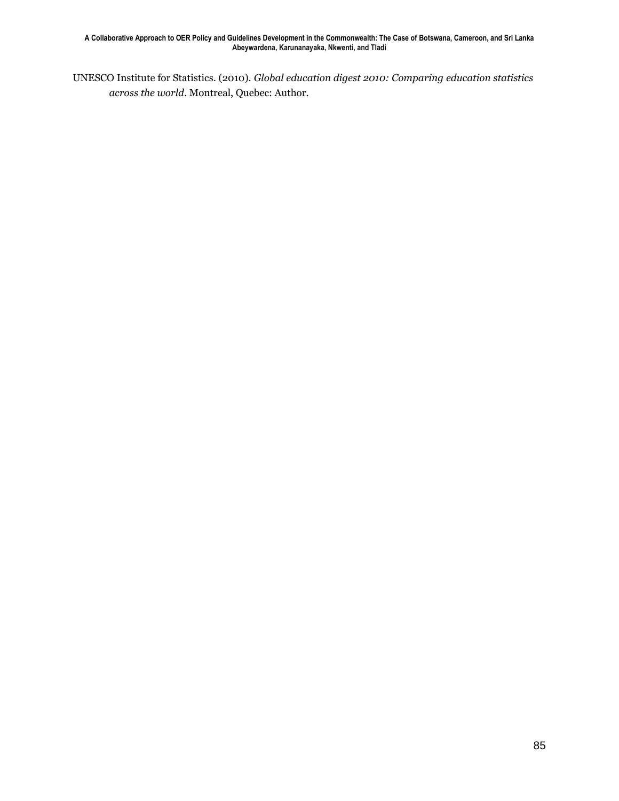UNESCO Institute for Statistics. (2010). *Global education digest 2010: Comparing education statistics across the world.* Montreal, Quebec: Author.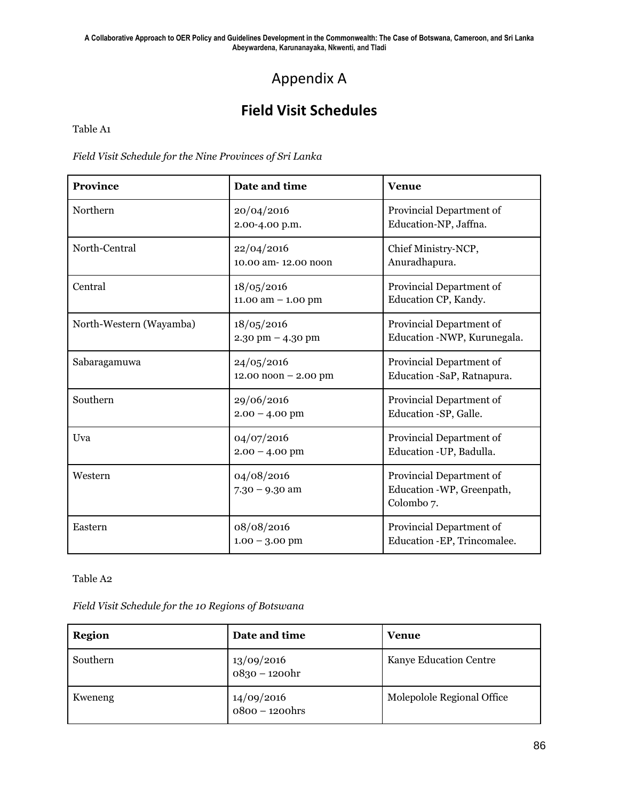## Appendix A

## **Field Visit Schedules**

Table A1

*Field Visit Schedule for the Nine Provinces of Sri Lanka*

| <b>Province</b>         | Date and time                                        | <b>Venue</b>                                                                    |
|-------------------------|------------------------------------------------------|---------------------------------------------------------------------------------|
| Northern                | 20/04/2016<br>2.00-4.00 p.m.                         | Provincial Department of<br>Education-NP, Jaffna.                               |
| North-Central           | 22/04/2016<br>10.00 am-12.00 noon                    | Chief Ministry-NCP,<br>Anuradhapura.                                            |
| Central                 | 18/05/2016<br>11.00 am $-$ 1.00 pm                   | Provincial Department of<br>Education CP, Kandy.                                |
| North-Western (Wayamba) | 18/05/2016<br>$2.30$ pm $- 4.30$ pm                  | Provincial Department of<br>Education -NWP, Kurunegala.                         |
| Sabaragamuwa            | 24/05/2016<br>$12.00 \text{ noon} - 2.00 \text{ pm}$ | Provincial Department of<br>Education -SaP, Ratnapura.                          |
| Southern                | 29/06/2016<br>$2.00 - 4.00$ pm                       | Provincial Department of<br>Education -SP, Galle.                               |
| Uva                     | 04/07/2016<br>$2.00 - 4.00$ pm                       | Provincial Department of<br>Education - UP, Badulla.                            |
| Western                 | 04/08/2016<br>$7.30 - 9.30$ am                       | Provincial Department of<br>Education -WP, Greenpath,<br>Colombo <sub>7</sub> . |
| Eastern                 | 08/08/2016<br>$1.00 - 3.00$ pm                       | Provincial Department of<br>Education - EP, Trincomalee.                        |

Table A2

*Field Visit Schedule for the 10 Regions of Botswana*

| <b>Region</b> | Date and time                  | Venue                      |
|---------------|--------------------------------|----------------------------|
| Southern      | 13/09/2016<br>0830 – 1200hr    | Kanye Education Centre     |
| Kweneng       | $14/09/2016$<br>0800 – 1200hrs | Molepolole Regional Office |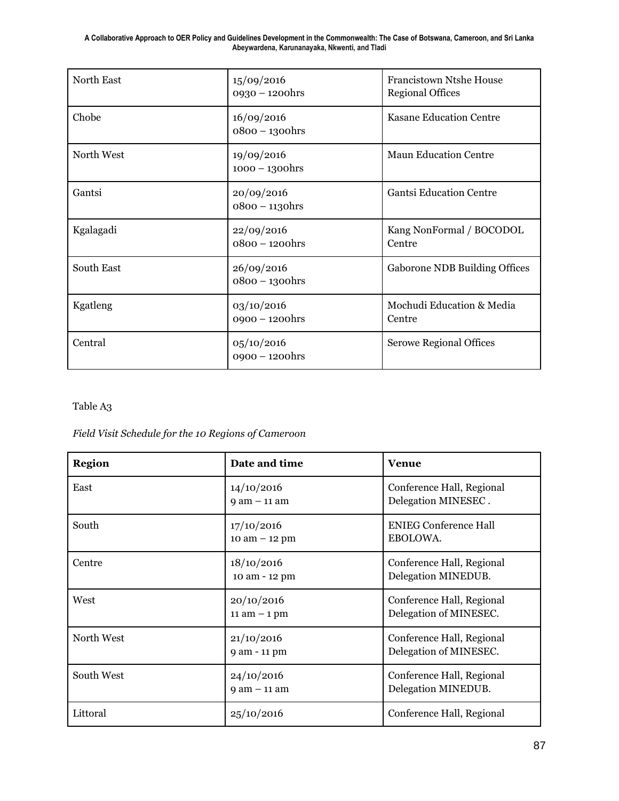| North East | 15/09/2016<br>0930 - 1200hrs    | <b>Francistown Ntshe House</b><br><b>Regional Offices</b> |
|------------|---------------------------------|-----------------------------------------------------------|
| Chobe      | 16/09/2016<br>$0800 - 1300$ hrs | <b>Kasane Education Centre</b>                            |
| North West | 19/09/2016<br>$1000 - 1300$ hrs | <b>Maun Education Centre</b>                              |
| Gantsi     | 20/09/2016<br>$0800 - 1130$ hrs | <b>Gantsi Education Centre</b>                            |
| Kgalagadi  | 22/09/2016<br>$0800 - 1200$ hrs | Kang NonFormal / BOCODOL<br>Centre                        |
| South East | 26/09/2016<br>0800 - 1300hrs    | <b>Gaborone NDB Building Offices</b>                      |
| Kgatleng   | 03/10/2016<br>$0900 - 1200$ hrs | Mochudi Education & Media<br>Centre                       |
| Central    | 05/10/2016<br>$0900 - 1200$ hrs | <b>Serowe Regional Offices</b>                            |

#### Table A3

*Field Visit Schedule for the 10 Regions of Cameroon*

| <b>Region</b> | Date and time                   | <b>Venue</b>                                        |
|---------------|---------------------------------|-----------------------------------------------------|
| East          | 14/10/2016<br>$9$ am $-$ 11 am  | Conference Hall, Regional<br>Delegation MINESEC.    |
| South         | 17/10/2016<br>$10$ am $- 12$ pm | <b>ENIEG Conference Hall</b><br>EBOLOWA.            |
| Centre        | 18/10/2016<br>10 am - 12 pm     | Conference Hall, Regional<br>Delegation MINEDUB.    |
| West          | 20/10/2016<br>$11$ am $-1$ pm   | Conference Hall, Regional<br>Delegation of MINESEC. |
| North West    | 21/10/2016<br>9 am - 11 pm      | Conference Hall, Regional<br>Delegation of MINESEC. |
| South West    | 24/10/2016<br>$9$ am $-$ 11 am  | Conference Hall, Regional<br>Delegation MINEDUB.    |
| Littoral      | 25/10/2016                      | Conference Hall, Regional                           |